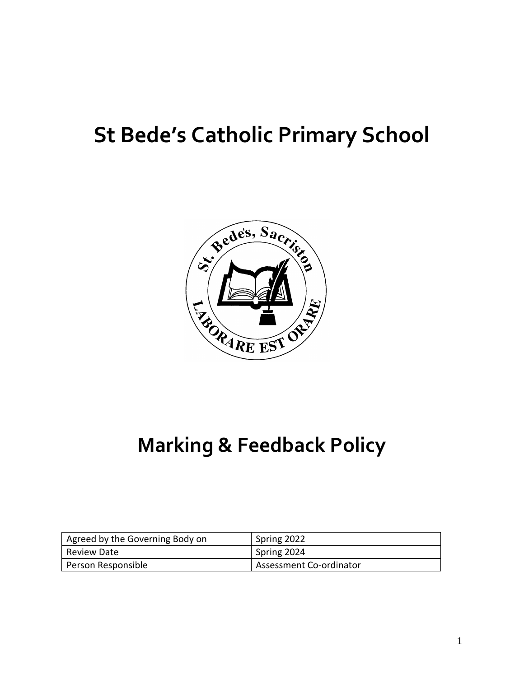# **St Bede's Catholic Primary School**



### **Marking & Feedback Policy**

| Agreed by the Governing Body on | Spring 2022             |
|---------------------------------|-------------------------|
| l Review Date                   | Spring 2024             |
| Person Responsible              | Assessment Co-ordinator |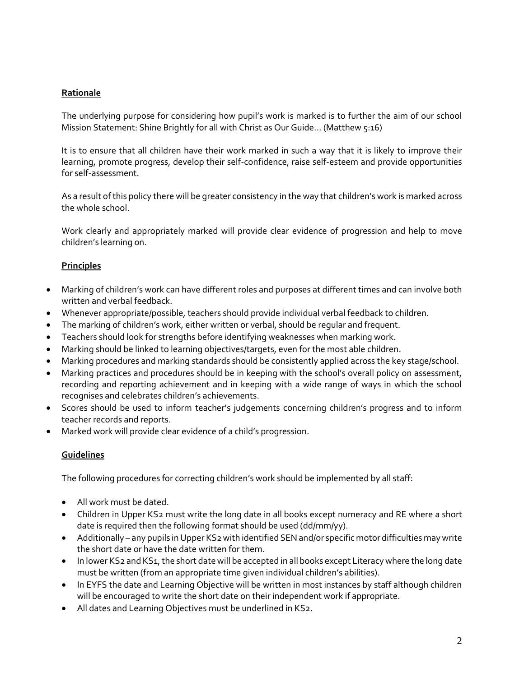#### **Rationale**

The underlying purpose for considering how pupil's work is marked is to further the aim of our school Mission Statement: Shine Brightly for all with Christ as Our Guide… (Matthew 5:16)

It is to ensure that all children have their work marked in such a way that it is likely to improve their learning, promote progress, develop their self-confidence, raise self-esteem and provide opportunities for self-assessment.

As a result of this policy there will be greater consistency in the way that children's work is marked across the whole school.

Work clearly and appropriately marked will provide clear evidence of progression and help to move children's learning on.

#### **Principles**

- Marking of children's work can have different roles and purposes at different times and can involve both written and verbal feedback.
- Whenever appropriate/possible, teachers should provide individual verbal feedback to children.
- The marking of children's work, either written or verbal, should be regular and frequent.
- Teachers should look for strengths before identifying weaknesses when marking work.
- Marking should be linked to learning objectives/targets, even for the most able children.
- Marking procedures and marking standards should be consistently applied across the key stage/school.
- Marking practices and procedures should be in keeping with the school's overall policy on assessment, recording and reporting achievement and in keeping with a wide range of ways in which the school recognises and celebrates children's achievements.
- Scores should be used to inform teacher's judgements concerning children's progress and to inform teacher records and reports.
- Marked work will provide clear evidence of a child's progression.

#### **Guidelines**

The following procedures for correcting children's work should be implemented by all staff:

- All work must be dated.
- Children in Upper KS2 must write the long date in all books except numeracy and RE where a short date is required then the following format should be used (dd/mm/yy).
- Additionally any pupils in Upper KS2 with identified SEN and/or specific motor difficulties may write the short date or have the date written for them.
- In lower KS2 and KS1, the short date will be accepted in all books except Literacy where the long date must be written (from an appropriate time given individual children's abilities).
- In EYFS the date and Learning Objective will be written in most instances by staff although children will be encouraged to write the short date on their independent work if appropriate.
- All dates and Learning Objectives must be underlined in KS2.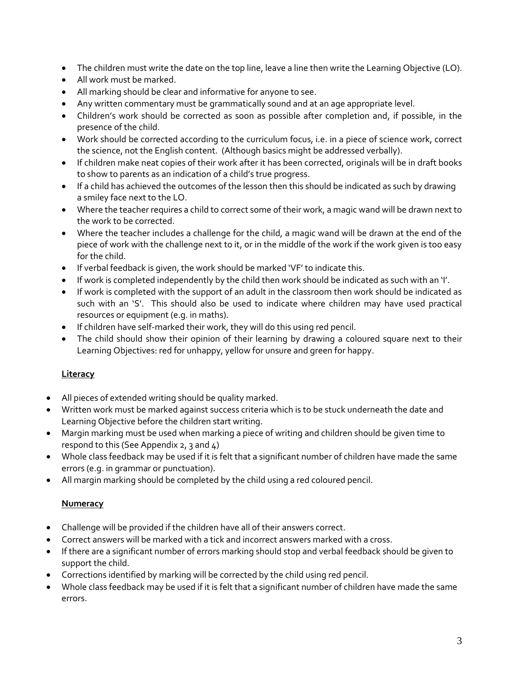- The children must write the date on the top line, leave a line then write the Learning Objective (LO).
- All work must be marked.
- All marking should be clear and informative for anyone to see.
- Any written commentary must be grammatically sound and at an age appropriate level.
- Children's work should be corrected as soon as possible after completion and, if possible, in the presence of the child.
- Work should be corrected according to the curriculum focus, i.e. in a piece of science work, correct the science, not the English content. (Although basics might be addressed verbally).
- If children make neat copies of their work after it has been corrected, originals will be in draft books to show to parents as an indication of a child's true progress.
- If a child has achieved the outcomes of the lesson then this should be indicated as such by drawing a smiley face next to the LO.
- Where the teacher requires a child to correct some of their work, a magic wand will be drawn next to the work to be corrected.
- Where the teacher includes a challenge for the child, a magic wand will be drawn at the end of the piece of work with the challenge next to it, or in the middle of the work if the work given is too easy for the child.
- If verbal feedback is given, the work should be marked 'VF' to indicate this.
- If work is completed independently by the child then work should be indicated as such with an 'I'.
- If work is completed with the support of an adult in the classroom then work should be indicated as such with an 'S'. This should also be used to indicate where children may have used practical resources or equipment (e.g. in maths).
- If children have self-marked their work, they will do this using red pencil.
- The child should show their opinion of their learning by drawing a coloured square next to their Learning Objectives: red for unhappy, yellow for unsure and green for happy.

#### **Literacy**

- All pieces of extended writing should be quality marked.
- Written work must be marked against success criteria which is to be stuck underneath the date and Learning Objective before the children start writing.
- Margin marking must be used when marking a piece of writing and children should be given time to respond to this (See Appendix  $2, 3$  and  $4$ )
- Whole class feedback may be used if it is felt that a significant number of children have made the same errors (e.g. in grammar or punctuation).
- All margin marking should be completed by the child using a red coloured pencil.

#### **Numeracy**

- Challenge will be provided if the children have all of their answers correct.
- Correct answers will be marked with a tick and incorrect answers marked with a cross.
- If there are a significant number of errors marking should stop and verbal feedback should be given to support the child.
- Corrections identified by marking will be corrected by the child using red pencil.
- Whole class feedback may be used if it is felt that a significant number of children have made the same errors.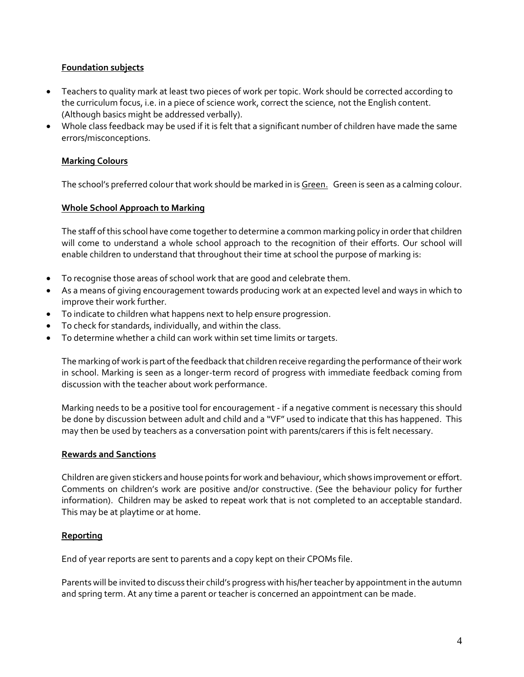#### **Foundation subjects**

- Teachers to quality mark at least two pieces of work per topic. Work should be corrected according to the curriculum focus, i.e. in a piece of science work, correct the science, not the English content. (Although basics might be addressed verbally).
- Whole class feedback may be used if it is felt that a significant number of children have made the same errors/misconceptions.

#### **Marking Colours**

The school's preferred colour that work should be marked in is Green. Green is seen as a calming colour.

#### **Whole School Approach to Marking**

The staff of this school have come together to determine a common marking policy in order that children will come to understand a whole school approach to the recognition of their efforts. Our school will enable children to understand that throughout their time at school the purpose of marking is:

- To recognise those areas of school work that are good and celebrate them.
- As a means of giving encouragement towards producing work at an expected level and ways in which to improve their work further.
- To indicate to children what happens next to help ensure progression.
- To check for standards, individually, and within the class.
- To determine whether a child can work within set time limits or targets.

The marking of work is part of the feedback that children receive regarding the performance of their work in school. Marking is seen as a longer-term record of progress with immediate feedback coming from discussion with the teacher about work performance.

Marking needs to be a positive tool for encouragement - if a negative comment is necessary this should be done by discussion between adult and child and a "VF" used to indicate that this has happened. This may then be used by teachers as a conversation point with parents/carers if this is felt necessary.

#### **Rewards and Sanctions**

Children are given stickers and house points for work and behaviour, which shows improvement or effort. Comments on children's work are positive and/or constructive. (See the behaviour policy for further information). Children may be asked to repeat work that is not completed to an acceptable standard. This may be at playtime or at home.

#### **Reporting**

End of year reports are sent to parents and a copy kept on their CPOMs file.

Parents will be invited to discuss their child's progress with his/her teacher by appointment in the autumn and spring term. At any time a parent or teacher is concerned an appointment can be made.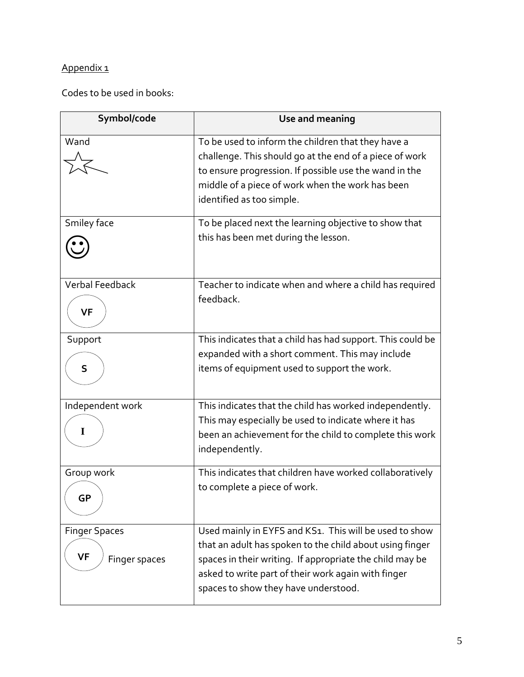### Appendix 1

Codes to be used in books:

| Symbol/code                                        | Use and meaning                                                                                                                                                                                                                                                               |
|----------------------------------------------------|-------------------------------------------------------------------------------------------------------------------------------------------------------------------------------------------------------------------------------------------------------------------------------|
| Wand                                               | To be used to inform the children that they have a<br>challenge. This should go at the end of a piece of work<br>to ensure progression. If possible use the wand in the<br>middle of a piece of work when the work has been<br>identified as too simple.                      |
| Smiley face                                        | To be placed next the learning objective to show that<br>this has been met during the lesson.                                                                                                                                                                                 |
| <b>Verbal Feedback</b><br><b>VF</b>                | Teacher to indicate when and where a child has required<br>feedback.                                                                                                                                                                                                          |
| Support<br>S                                       | This indicates that a child has had support. This could be<br>expanded with a short comment. This may include<br>items of equipment used to support the work.                                                                                                                 |
| Independent work<br>I                              | This indicates that the child has worked independently.<br>This may especially be used to indicate where it has<br>been an achievement for the child to complete this work<br>independently.                                                                                  |
| Group work<br>GP                                   | This indicates that children have worked collaboratively<br>to complete a piece of work.                                                                                                                                                                                      |
| <b>Finger Spaces</b><br><b>VF</b><br>Finger spaces | Used mainly in EYFS and KS1. This will be used to show<br>that an adult has spoken to the child about using finger<br>spaces in their writing. If appropriate the child may be<br>asked to write part of their work again with finger<br>spaces to show they have understood. |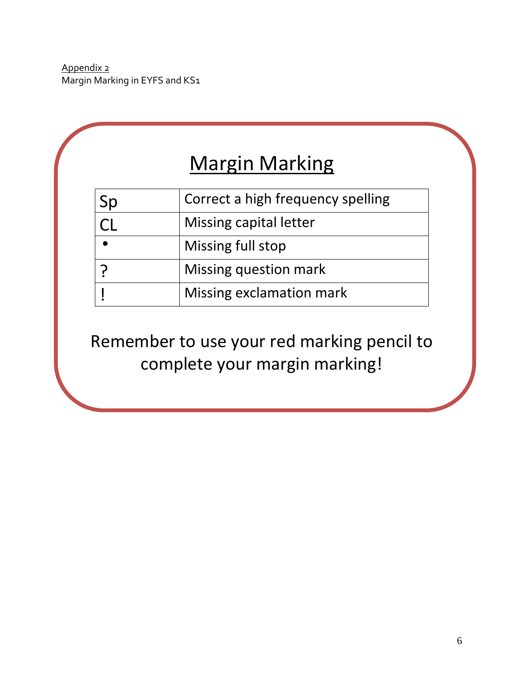Appendix 2 Margin Marking in EYFS and KS1

|           | <b>Margin Marking</b>             |
|-----------|-----------------------------------|
| Sp        | Correct a high frequency spelling |
|           | Missing capital letter            |
| $\bullet$ | Missing full stop                 |
| ှာ        | Missing question mark             |
|           | Missing exclamation mark          |

Remember to use your red marking pencil to complete your margin marking!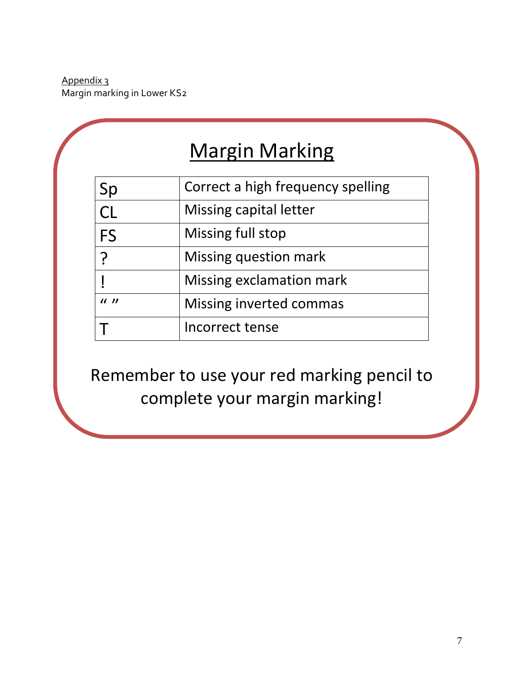Appendix 3 Margin marking in Lower KS2

| <b>Margin Marking</b> |
|-----------------------|
|-----------------------|

| Sp        | Correct a high frequency spelling |
|-----------|-----------------------------------|
| <b>CL</b> | Missing capital letter            |
| FS        | Missing full stop                 |
|           | Missing question mark             |
|           | Missing exclamation mark          |
| (1)       | Missing inverted commas           |
|           | Incorrect tense                   |

Remember to use your red marking pencil to complete your margin marking!